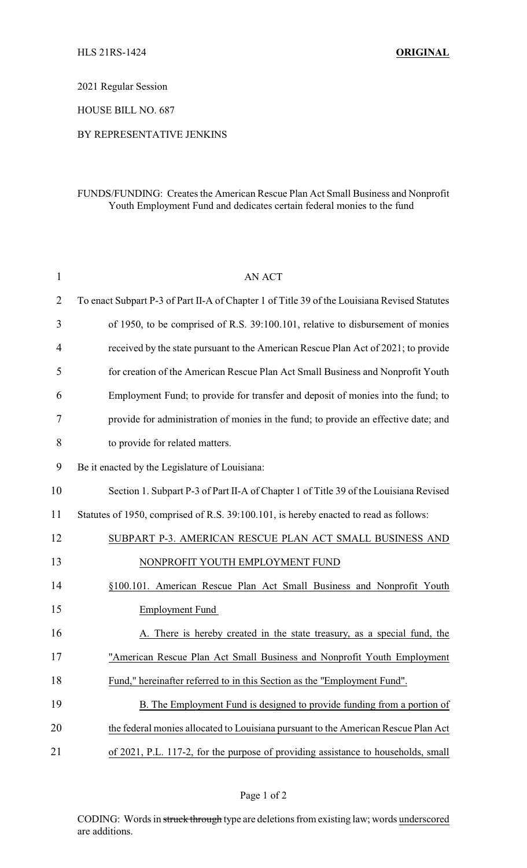2021 Regular Session

HOUSE BILL NO. 687

BY REPRESENTATIVE JENKINS

## FUNDS/FUNDING: Creates the American Rescue Plan Act Small Business and Nonprofit Youth Employment Fund and dedicates certain federal monies to the fund

| $\mathbf{1}$   | <b>AN ACT</b>                                                                                |  |
|----------------|----------------------------------------------------------------------------------------------|--|
| $\overline{2}$ | To enact Subpart P-3 of Part II-A of Chapter 1 of Title 39 of the Louisiana Revised Statutes |  |
| 3              | of 1950, to be comprised of R.S. 39:100.101, relative to disbursement of monies              |  |
| $\overline{4}$ | received by the state pursuant to the American Rescue Plan Act of 2021; to provide           |  |
| 5              | for creation of the American Rescue Plan Act Small Business and Nonprofit Youth              |  |
| 6              | Employment Fund; to provide for transfer and deposit of monies into the fund; to             |  |
| 7              | provide for administration of monies in the fund; to provide an effective date; and          |  |
| 8              | to provide for related matters.                                                              |  |
| 9              | Be it enacted by the Legislature of Louisiana:                                               |  |
| 10             | Section 1. Subpart P-3 of Part II-A of Chapter 1 of Title 39 of the Louisiana Revised        |  |
| 11             | Statutes of 1950, comprised of R.S. 39:100.101, is hereby enacted to read as follows:        |  |
| 12             | SUBPART P-3. AMERICAN RESCUE PLAN ACT SMALL BUSINESS AND                                     |  |
| 13             | NONPROFIT YOUTH EMPLOYMENT FUND                                                              |  |
| 14             | §100.101. American Rescue Plan Act Small Business and Nonprofit Youth                        |  |
| 15             | <b>Employment Fund</b>                                                                       |  |
| 16             | A. There is hereby created in the state treasury, as a special fund, the                     |  |
| 17             | "American Rescue Plan Act Small Business and Nonprofit Youth Employment                      |  |
| 18             | Fund," hereinafter referred to in this Section as the "Employment Fund".                     |  |
| 19             | B. The Employment Fund is designed to provide funding from a portion of                      |  |
| 20             | the federal monies allocated to Louisiana pursuant to the American Rescue Plan Act           |  |
| 21             | of 2021, P.L. 117-2, for the purpose of providing assistance to households, small            |  |